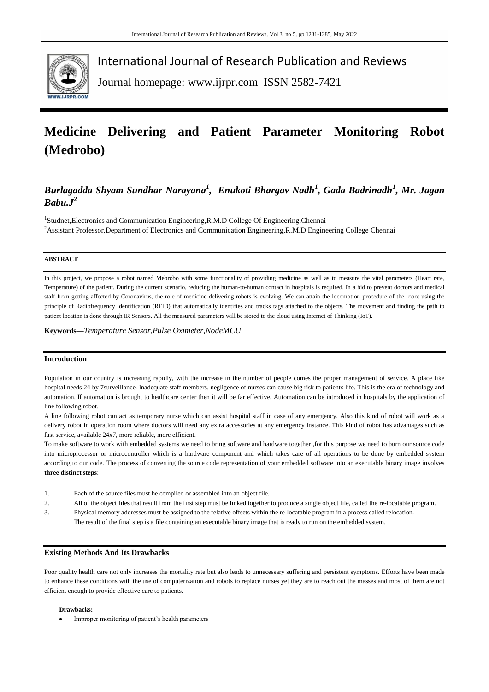

International Journal of Research Publication and Reviews

Journal homepage: www.ijrpr.com ISSN 2582-7421

# **Medicine Delivering and Patient Parameter Monitoring Robot (Medrobo)**

# *Burlagadda Shyam Sundhar Narayana<sup>1</sup> , Enukoti Bhargav Nadh<sup>1</sup> , Gada Badrinadh<sup>1</sup> , Mr. Jagan*   $Babu$ <sub>*J*<sup>2</sup></sup></sub>

<sup>1</sup>Studnet, Electronics and Communication Engineering, R.M.D College Of Engineering, Chennai <sup>2</sup>Assistant Professor,Department of Electronics and Communication Engineering,R.M.D Engineering College Chennai

#### **ABSTRACT**

In this project, we propose a robot named Mebrobo with some functionality of providing medicine as well as to measure the vital parameters (Heart rate, Temperature) of the patient. During the current scenario, reducing the human-to-human contact in hospitals is required. In a bid to prevent doctors and medical staff from getting affected by Coronavirus, the role of medicine delivering robots is evolving. We can attain the locomotion procedure of the robot using the principle of Radiofrequency identification (RFID) that automatically identifies and tracks tags attached to the objects. The movement and finding the path to patient location is done through IR Sensors. All the measured parameters will be stored to the cloud using Internet of Thinking (IoT).

**Keywords—***Temperature Sensor,Pulse Oximeter,NodeMCU*

### **Introduction**

Population in our country is increasing rapidly, with the increase in the number of people comes the proper management of service. A place like hospital needs 24 by 7surveillance. Inadequate staff members, negligence of nurses can cause big risk to patients life. This is the era of technology and automation. If automation is brought to healthcare center then it will be far effective. Automation can be introduced in hospitals by the application of line following robot.

A line following robot can act as temporary nurse which can assist hospital staff in case of any emergency. Also this kind of robot will work as a delivery robot in operation room where doctors will need any extra accessories at any emergency instance. This kind of robot has advantages such as fast service, available 24x7, more reliable, more efficient.

To make software to work with embedded systems we need to bring software and hardware together ,for this purpose we need to burn our source code into microprocessor or microcontroller which is a hardware component and which takes care of all operations to be done by embedded system according to our code. The process of converting the source code representation of your embedded software into an executable binary image involves **three distinct steps**:

- 1. Each of the source files must be compiled or assembled into an object file.
- 2. All of the object files that result from the first step must be linked together to produce a single object file, called the re-locatable program.
- 3. Physical memory addresses must be assigned to the relative offsets within the re-locatable program in a process called relocation. The result of the final step is a file containing an executable binary image that is ready to run on the embedded system.

#### **Existing Methods And Its Drawbacks**

Poor quality health care not only increases the mortality rate but also leads to unnecessary suffering and persistent symptoms. Efforts have been made to enhance these conditions with the use of computerization and robots to replace nurses yet they are to reach out the masses and most of them are not efficient enough to provide effective care to patients.

#### **Drawbacks:**

Improper monitoring of patient's health parameters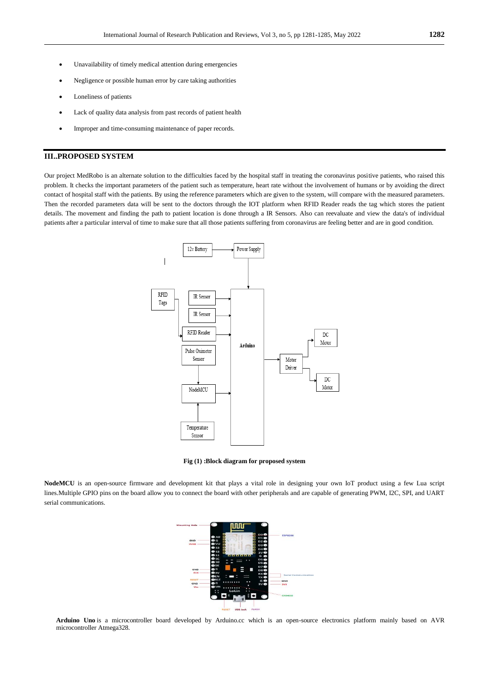- Unavailability of timely medical attention during emergencies
- Negligence or possible human error by care taking authorities
- Loneliness of patients
- Lack of quality data analysis from past records of patient health
- Improper and time-consuming maintenance of paper records.

#### **III..PROPOSED SYSTEM**

Our project MedRobo is an alternate solution to the difficulties faced by the hospital staff in treating the coronavirus positive patients, who raised this problem. It checks the important parameters of the patient such as temperature, heart rate without the involvement of humans or by avoiding the direct contact of hospital staff with the patients. By using the reference parameters which are given to the system, will compare with the measured parameters. Then the recorded parameters data will be sent to the doctors through the IOT platform when RFID Reader reads the tag which stores the patient details. The movement and finding the path to patient location is done through a IR Sensors. Also can reevaluate and view the data's of individual patients after a particular interval of time to make sure that all those patients suffering from coronavirus are feeling better and are in good condition.



**Fig (1) :Block diagram for proposed system**

**NodeMCU** is an open-source firmware and development kit that plays a vital role in designing your own IoT product using a few Lua script lines.Multiple GPIO pins on the board allow you to connect the board with other peripherals and are capable of generating PWM, I2C, SPI, and UART serial communications.



**Arduino Uno** is a microcontroller board developed by Arduino.cc which is an open-source electronics platform mainly based on AVR microcontroller Atmega328.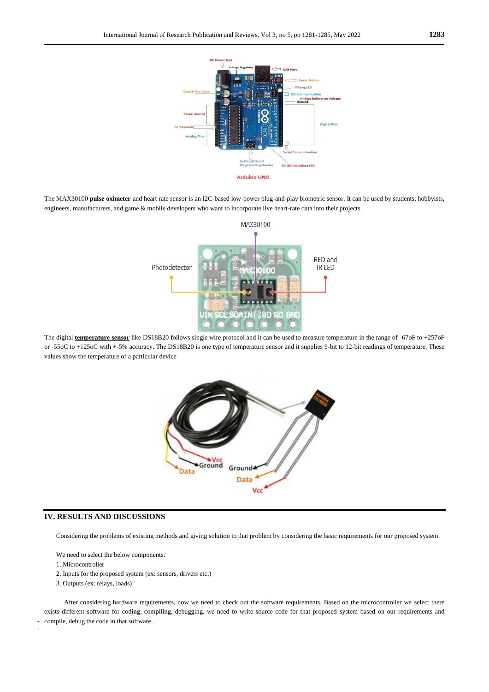

The MAX30100 **pulse oximeter** and heart rate sensor is an I2C-based low-power plug-and-play biometric sensor. It can be used by students, hobbyists, engineers, manufacturers, and game & mobile developers who want to incorporate live heart-rate data into their projects.



The digital **[temperature sensor](https://www.elprocus.com/temperature-sensors-types-working-operation/)** like DS18B20 follows single wire protocol and it can be used to measure temperature in the range of -67oF to +257oF or -55oC to +125oC with +-5% accuracy. The DS18B20 is one type of temperature sensor and it supplies 9-bit to 12-bit readings of temperature. These values show the temperature of a particular device



## **IV. RESULTS AND DISCUSSIONS**

Considering the problems of existing methods and giving solution to that problem by considering the basic requirements for our proposed system

We need to select the below components:

1. Microcontroller

.

- 2. Inputs for the proposed system (ex: sensors, drivers etc.)
- 3. Outputs (ex: relays, loads)

 After considering hardware requirements, now we need to check out the software requirements. Based on the microcontroller we select there exists different software for coding, compiling, debugging. we need to write source code for that proposed system based on our requirements and compile, debug the code in that software .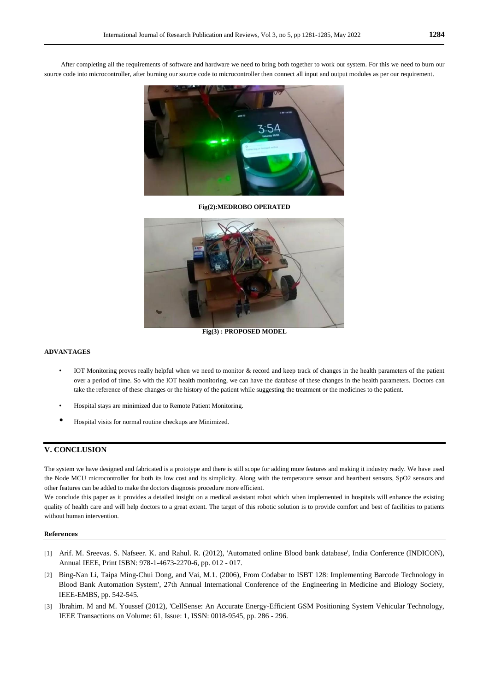After completing all the requirements of software and hardware we need to bring both together to work our system. For this we need to burn our source code into microcontroller, after burning our source code to microcontroller then connect all input and output modules as per our requirement.



**Fig(2):MEDROBO OPERATED**



**Fig(3) : PROPOSED MODEL**

### **ADVANTAGES**

- IOT Monitoring proves really helpful when we need to monitor & record and keep track of changes in the health parameters of the patient over a period of time. So with the IOT health monitoring, we can have the database of these changes in the health parameters. Doctors can take the reference of these changes or the history of the patient while suggesting the treatment or the medicines to the patient.
- Hospital stays are minimized due to Remote Patient Monitoring.
- Hospital visits for normal routine checkups are Minimized.

#### **V. CONCLUSION**

The system we have designed and fabricated is a prototype and there is still scope for adding more features and making it industry ready. We have used the Node MCU microcontroller for both its low cost and its simplicity. Along with the temperature sensor and heartbeat sensors, SpO2 sensors and other features can be added to make the doctors diagnosis procedure more efficient.

We conclude this paper as it provides a detailed insight on a medical assistant robot which when implemented in hospitals will enhance the existing quality of health care and will help doctors to a great extent. The target of this robotic solution is to provide comfort and best of facilities to patients without human intervention.

#### **References**

- [1] Arif. M. Sreevas. S. Nafseer. K. and Rahul. R. (2012), 'Automated online Blood bank database', India Conference (INDICON), Annual IEEE, Print ISBN: 978-1-4673-2270-6, pp. 012 - 017.
- [2] Bing-Nan Li, Taipa Ming-Chui Dong, and Vai, M.1. (2006), From Codabar to ISBT 128: Implementing Barcode Technology in Blood Bank Automation System', 27th Annual International Conference of the Engineering in Medicine and Biology Society, IEEE-EMBS, pp. 542-545.
- [3] Ibrahim. M and M. Youssef (2012), 'CeIlSense: An Accurate Energy-Efficient GSM Positioning System Vehicular Technology, IEEE Transactions on Volume: 61, Issue: 1, ISSN: 0018-9545, pp. 286 - 296.